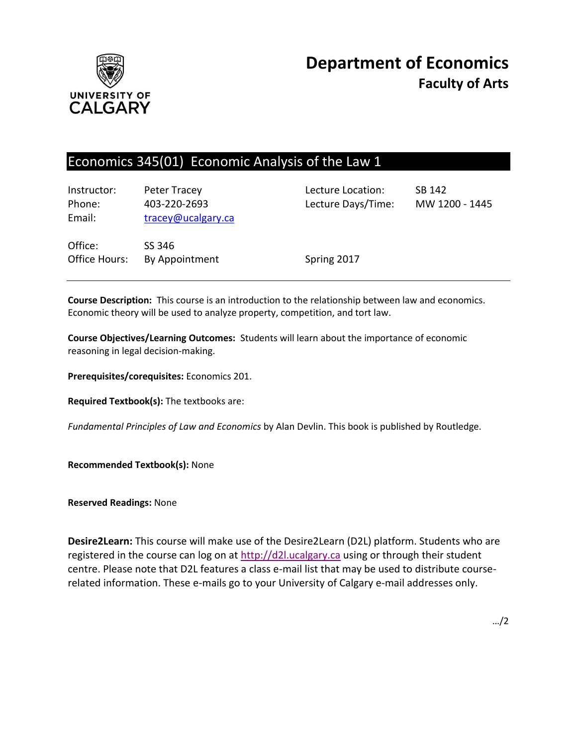

# Economics 345(01) Economic Analysis of the Law 1

| Instructor:<br>Phone:<br>Email: | Peter Tracey<br>403-220-2693<br>tracey@ucalgary.ca | Lecture Location:<br>Lecture Days/Time: | SB 142<br>MW 1200 - 1445 |
|---------------------------------|----------------------------------------------------|-----------------------------------------|--------------------------|
| Office:<br>Office Hours:        | SS 346<br>By Appointment                           | Spring 2017                             |                          |

**Course Description:** This course is an introduction to the relationship between law and economics. Economic theory will be used to analyze property, competition, and tort law.

**Course Objectives/Learning Outcomes:** Students will learn about the importance of economic reasoning in legal decision-making.

**Prerequisites/corequisites:** Economics 201.

**Required Textbook(s):** The textbooks are:

*Fundamental Principles of Law and Economics* by Alan Devlin. This book is published by Routledge.

**Recommended Textbook(s):** None

**Reserved Readings:** None

**Desire2Learn:** This course will make use of the Desire2Learn (D2L) platform. Students who are registered in the course can log on at [http://d2l.ucalgary.ca](http://d2l.ucalgary.ca/) using or through their student centre. Please note that D2L features a class e-mail list that may be used to distribute courserelated information. These e-mails go to your University of Calgary e-mail addresses only.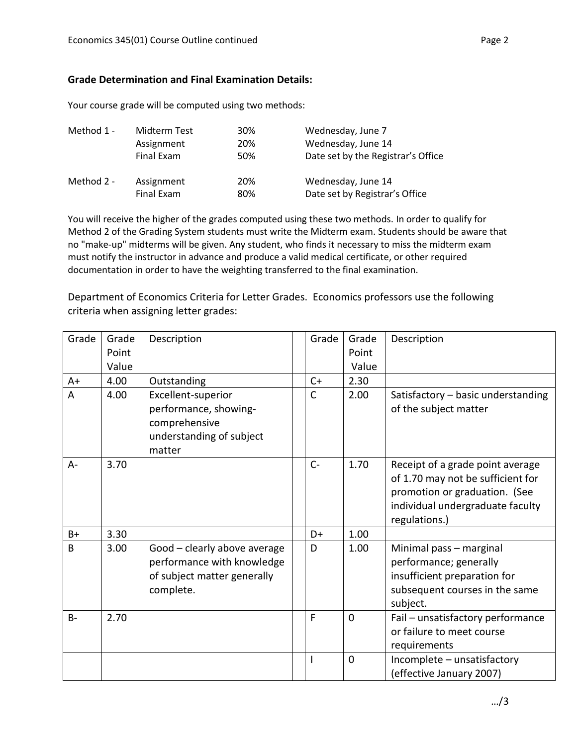#### **Grade Determination and Final Examination Details:**

Your course grade will be computed using two methods:

| Method 1 - | Midterm Test | 30% | Wednesday, June 7                  |
|------------|--------------|-----|------------------------------------|
|            | Assignment   | 20% | Wednesday, June 14                 |
|            | Final Exam   | 50% | Date set by the Registrar's Office |
| Method 2 - | Assignment   | 20% | Wednesday, June 14                 |
|            | Final Exam   | 80% | Date set by Registrar's Office     |

You will receive the higher of the grades computed using these two methods. In order to qualify for Method 2 of the Grading System students must write the Midterm exam. Students should be aware that no "make-up" midterms will be given. Any student, who finds it necessary to miss the midterm exam must notify the instructor in advance and produce a valid medical certificate, or other required documentation in order to have the weighting transferred to the final examination.

Department of Economics Criteria for Letter Grades. Economics professors use the following criteria when assigning letter grades:

| Grade     | Grade<br>Point<br>Value | Description                                                                                            | Grade | Grade<br>Point<br>Value | Description                                                                                                                                                 |
|-----------|-------------------------|--------------------------------------------------------------------------------------------------------|-------|-------------------------|-------------------------------------------------------------------------------------------------------------------------------------------------------------|
| $A+$      | 4.00                    | Outstanding                                                                                            | $C+$  | 2.30                    |                                                                                                                                                             |
| A         | 4.00                    | Excellent-superior<br>performance, showing-<br>comprehensive<br>understanding of subject<br>matter     | С     | 2.00                    | Satisfactory - basic understanding<br>of the subject matter                                                                                                 |
| $A -$     | 3.70                    |                                                                                                        | $C -$ | 1.70                    | Receipt of a grade point average<br>of 1.70 may not be sufficient for<br>promotion or graduation. (See<br>individual undergraduate faculty<br>regulations.) |
| $B+$      | 3.30                    |                                                                                                        | D+    | 1.00                    |                                                                                                                                                             |
| B         | 3.00                    | Good - clearly above average<br>performance with knowledge<br>of subject matter generally<br>complete. | D     | 1.00                    | Minimal pass - marginal<br>performance; generally<br>insufficient preparation for<br>subsequent courses in the same<br>subject.                             |
| <b>B-</b> | 2.70                    |                                                                                                        | F     | $\mathbf{0}$            | Fail - unsatisfactory performance<br>or failure to meet course<br>requirements                                                                              |
|           |                         |                                                                                                        |       | $\mathbf 0$             | Incomplete - unsatisfactory<br>(effective January 2007)                                                                                                     |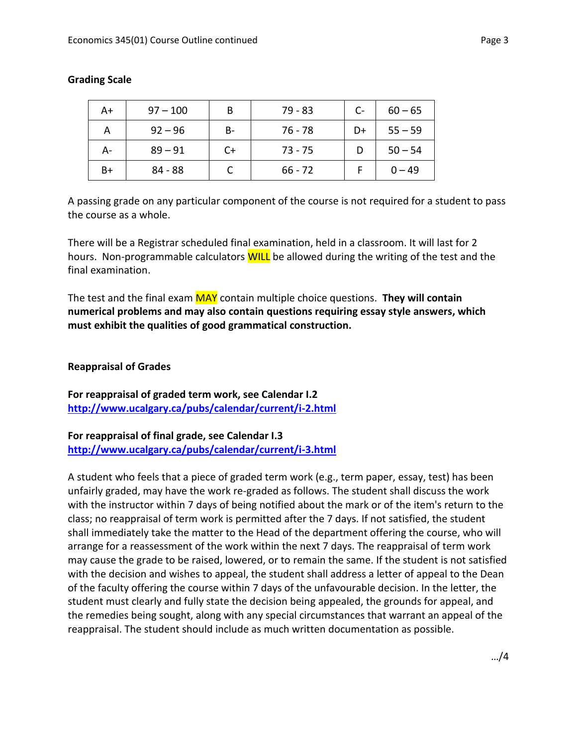| A+   | $97 - 100$ | В  | 79 - 83   | $C-$ | $60 - 65$ |
|------|------------|----|-----------|------|-----------|
|      | $92 - 96$  | B- | 76 - 78   | D+   | $55 - 59$ |
| А-   | $89 - 91$  | C+ | $73 - 75$ |      | $50 - 54$ |
| $B+$ | $84 - 88$  |    | $66 - 72$ |      | $0 - 49$  |

### **Grading Scale**

A passing grade on any particular component of the course is not required for a student to pass the course as a whole.

There will be a Registrar scheduled final examination, held in a classroom. It will last for 2 hours. Non-programmable calculators **WILL** be allowed during the writing of the test and the final examination.

The test and the final exam MAY contain multiple choice questions. **They will contain numerical problems and may also contain questions requiring essay style answers, which must exhibit the qualities of good grammatical construction.**

#### **Reappraisal of Grades**

**For reappraisal of graded term work, see Calendar I.2 <http://www.ucalgary.ca/pubs/calendar/current/i-2.html>**

**For reappraisal of final grade, see Calendar I.3 <http://www.ucalgary.ca/pubs/calendar/current/i-3.html>**

A student who feels that a piece of graded term work (e.g., term paper, essay, test) has been unfairly graded, may have the work re-graded as follows. The student shall discuss the work with the instructor within 7 days of being notified about the mark or of the item's return to the class; no reappraisal of term work is permitted after the 7 days. If not satisfied, the student shall immediately take the matter to the Head of the department offering the course, who will arrange for a reassessment of the work within the next 7 days. The reappraisal of term work may cause the grade to be raised, lowered, or to remain the same. If the student is not satisfied with the decision and wishes to appeal, the student shall address a letter of appeal to the Dean of the faculty offering the course within 7 days of the unfavourable decision. In the letter, the student must clearly and fully state the decision being appealed, the grounds for appeal, and the remedies being sought, along with any special circumstances that warrant an appeal of the reappraisal. The student should include as much written documentation as possible.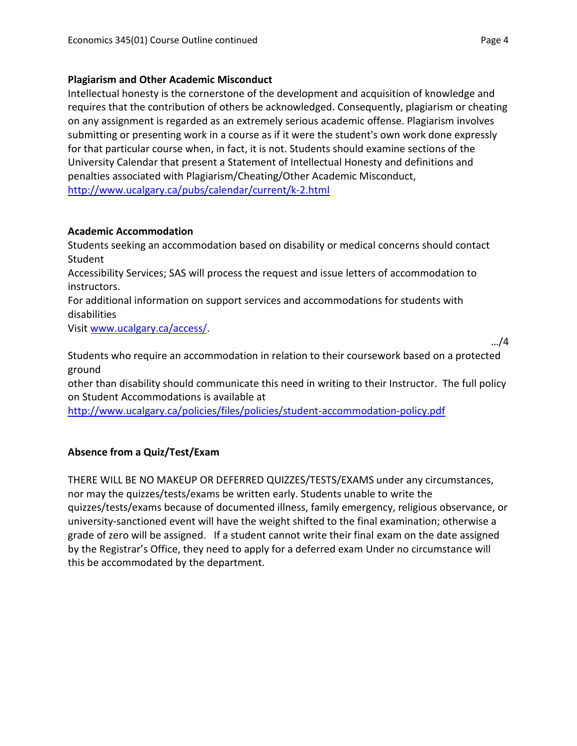## **Plagiarism and Other Academic Misconduct**

Intellectual honesty is the cornerstone of the development and acquisition of knowledge and requires that the contribution of others be acknowledged. Consequently, plagiarism or cheating on any assignment is regarded as an extremely serious academic offense. Plagiarism involves submitting or presenting work in a course as if it were the student's own work done expressly for that particular course when, in fact, it is not. Students should examine sections of the University Calendar that present a Statement of Intellectual Honesty and definitions and penalties associated with Plagiarism/Cheating/Other Academic Misconduct, <http://www.ucalgary.ca/pubs/calendar/current/k-2.html>

# **Academic Accommodation**

Students seeking an accommodation based on disability or medical concerns should contact Student

Accessibility Services; SAS will process the request and issue letters of accommodation to instructors.

For additional information on support services and accommodations for students with disabilities

Visi[t www.ucalgary.ca/access/.](http://www.ucalgary.ca/access/)

…/4

Students who require an accommodation in relation to their coursework based on a protected ground

other than disability should communicate this need in writing to their Instructor. The full policy on Student Accommodations is available at

<http://www.ucalgary.ca/policies/files/policies/student-accommodation-policy.pdf>

# **Absence from a Quiz/Test/Exam**

THERE WILL BE NO MAKEUP OR DEFERRED QUIZZES/TESTS/EXAMS under any circumstances, nor may the quizzes/tests/exams be written early. Students unable to write the quizzes/tests/exams because of documented illness, family emergency, religious observance, or university-sanctioned event will have the weight shifted to the final examination; otherwise a grade of zero will be assigned. If a student cannot write their final exam on the date assigned by the Registrar's Office, they need to apply for a deferred exam Under no circumstance will this be accommodated by the department.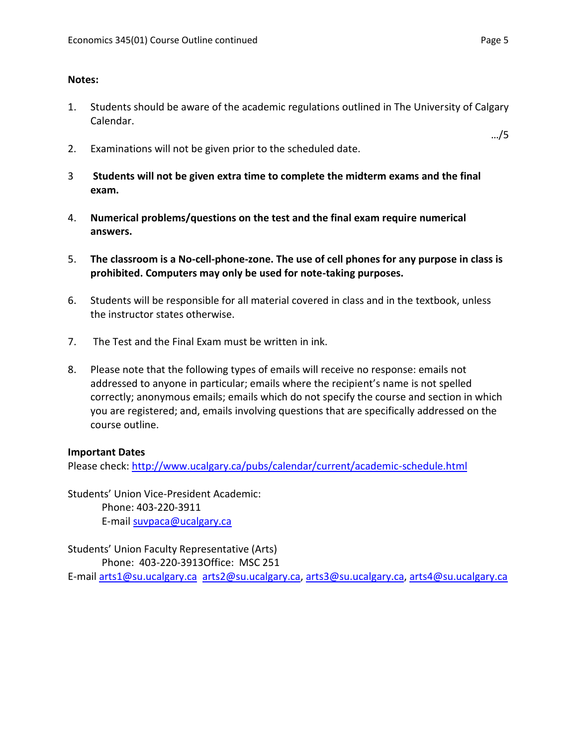### **Notes:**

- 1. Students should be aware of the academic regulations outlined in The University of Calgary Calendar.
- 2. Examinations will not be given prior to the scheduled date.
- 3 **Students will not be given extra time to complete the midterm exams and the final exam.**
- 4. **Numerical problems/questions on the test and the final exam require numerical answers.**
- 5. **The classroom is a No-cell-phone-zone. The use of cell phones for any purpose in class is prohibited. Computers may only be used for note-taking purposes.**
- 6. Students will be responsible for all material covered in class and in the textbook, unless the instructor states otherwise.
- 7. The Test and the Final Exam must be written in ink.
- 8. Please note that the following types of emails will receive no response: emails not addressed to anyone in particular; emails where the recipient's name is not spelled correctly; anonymous emails; emails which do not specify the course and section in which you are registered; and, emails involving questions that are specifically addressed on the course outline.

#### **Important Dates**

Please check:<http://www.ucalgary.ca/pubs/calendar/current/academic-schedule.html>

Students' Union Vice-President Academic: Phone: 403-220-3911 E-mail [suvpaca@ucalgary.ca](mailto:subpaca@ucalgary.ca)

Students' Union Faculty Representative (Arts) Phone: 403-220-3913Office: MSC 251 E-mail [arts1@su.ucalgary.ca](mailto:arts1@su.ucalgary.ca) [arts2@su.ucalgary.ca,](mailto:arts2@su.ucalgary.ca) [arts3@su.ucalgary.ca,](mailto:arts3@su.ucalgary.ca) [arts4@su.ucalgary.ca](mailto:arts4@su.ucalgary.ca)

…/5